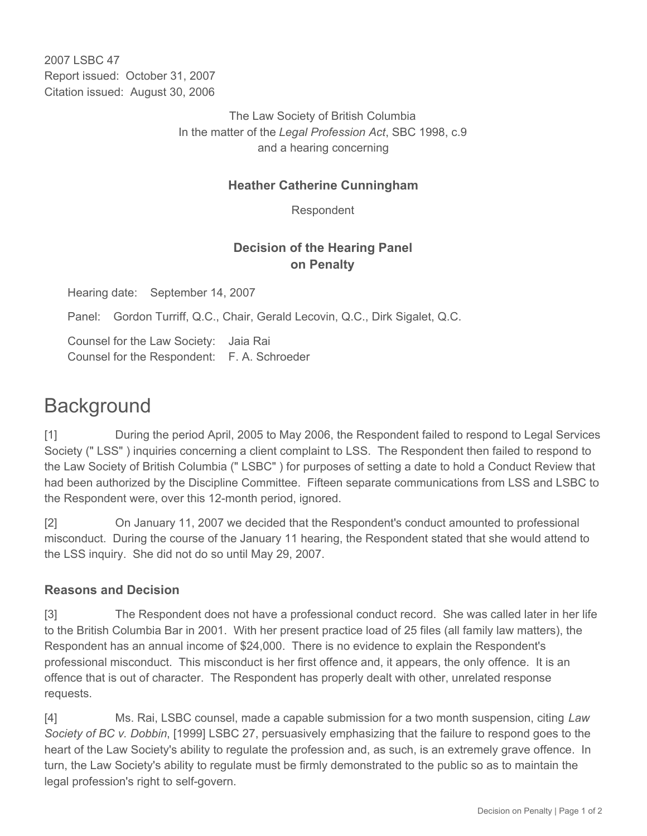2007 LSBC 47 Report issued: October 31, 2007 Citation issued: August 30, 2006

> The Law Society of British Columbia In the matter of the *Legal Profession Act*, SBC 1998, c.9 and a hearing concerning

## **Heather Catherine Cunningham**

Respondent

## **Decision of the Hearing Panel on Penalty**

Hearing date: September 14, 2007

Panel: Gordon Turriff, Q.C., Chair, Gerald Lecovin, Q.C., Dirk Sigalet, Q.C.

Counsel for the Law Society: Jaia Rai Counsel for the Respondent: F. A. Schroeder

## **Background**

[1] During the period April, 2005 to May 2006, the Respondent failed to respond to Legal Services Society (" LSS" ) inquiries concerning a client complaint to LSS. The Respondent then failed to respond to the Law Society of British Columbia (" LSBC" ) for purposes of setting a date to hold a Conduct Review that had been authorized by the Discipline Committee. Fifteen separate communications from LSS and LSBC to the Respondent were, over this 12-month period, ignored.

[2] On January 11, 2007 we decided that the Respondent's conduct amounted to professional misconduct. During the course of the January 11 hearing, the Respondent stated that she would attend to the LSS inquiry. She did not do so until May 29, 2007.

## **Reasons and Decision**

[3] The Respondent does not have a professional conduct record. She was called later in her life to the British Columbia Bar in 2001. With her present practice load of 25 files (all family law matters), the Respondent has an annual income of \$24,000. There is no evidence to explain the Respondent's professional misconduct. This misconduct is her first offence and, it appears, the only offence. It is an offence that is out of character. The Respondent has properly dealt with other, unrelated response requests.

[4] Ms. Rai, LSBC counsel, made a capable submission for a two month suspension, citing *Law Society of BC v. Dobbin*, [1999] LSBC 27, persuasively emphasizing that the failure to respond goes to the heart of the Law Society's ability to regulate the profession and, as such, is an extremely grave offence. In turn, the Law Society's ability to regulate must be firmly demonstrated to the public so as to maintain the legal profession's right to self-govern.